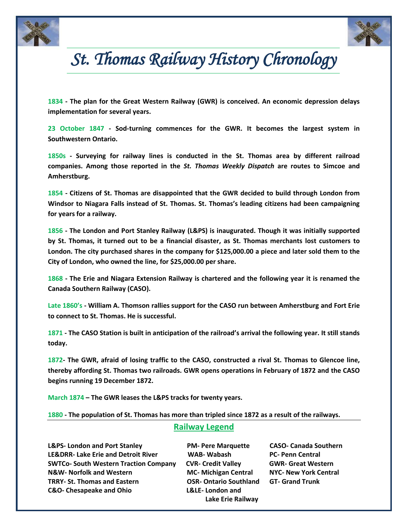



# *St. Thomas Railway History Chronology*

**1834 - The plan for the Great Western Railway (GWR) is conceived. An economic depression delays implementation for several years.**

**23 October 1847 - Sod-turning commences for the GWR. It becomes the largest system in Southwestern Ontario.** 

**1850s - Surveying for railway lines is conducted in the St. Thomas area by different railroad companies. Among those reported in the** *St. Thomas Weekly Dispatch* **are routes to Simcoe and Amherstburg.** 

**1854 - Citizens of St. Thomas are disappointed that the GWR decided to build through London from Windsor to Niagara Falls instead of St. Thomas. St. Thomas's leading citizens had been campaigning for years for a railway.** 

**1856 - The London and Port Stanley Railway (L&PS) is inaugurated. Though it was initially supported by St. Thomas, it turned out to be a financial disaster, as St. Thomas merchants lost customers to London. The city purchased shares in the company for \$125,000.00 a piece and later sold them to the City of London, who owned the line, for \$25,000.00 per share.**

**1868 - The Erie and Niagara Extension Railway is chartered and the following year it is renamed the Canada Southern Railway (CASO).**

**Late 1860's - William A. Thomson rallies support for the CASO run between Amherstburg and Fort Erie to connect to St. Thomas. He is successful.** 

**1871 - The CASO Station is built in anticipation of the railroad's arrival the following year. It still stands today.**

**1872- The GWR, afraid of losing traffic to the CASO, constructed a rival St. Thomas to Glencoe line, thereby affording St. Thomas two railroads. GWR opens operations in February of 1872 and the CASO begins running 19 December 1872.**

**March 1874 – The GWR leases the L&PS tracks for twenty years.**

**1880 - The population of St. Thomas has more than tripled since 1872 as a result of the railways.**

## **Railway Legend**

**L&PS- London and Port Stanley PM- Pere Marquette CASO- Canada Southern LE&DRR- Lake Erie and Detroit River WAB- Wabash PC- Penn Central SWTCo- South Western Traction Company CVR- Credit Valley GWR- Great Western N&W- Norfolk and Western MC- Michigan Central NYC- New York Central TRRY- St. Thomas and Eastern OSR- Ontario Southland GT- Grand Trunk C&O- Chesapeake and Ohio L&LE- London and**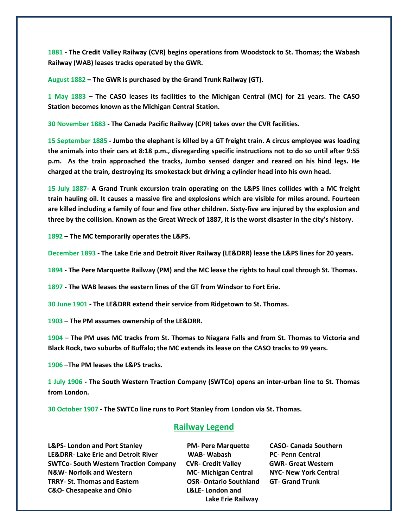**1881 - The Credit Valley Railway (CVR) begins operations from Woodstock to St. Thomas; the Wabash Railway (WAB) leases tracks operated by the GWR.**

**August 1882 – The GWR is purchased by the Grand Trunk Railway (GT).** 

**1 May 1883 – The CASO leases its facilities to the Michigan Central (MC) for 21 years. The CASO Station becomes known as the Michigan Central Station.**

**30 November 1883 - The Canada Pacific Railway (CPR) takes over the CVR facilities.**

**15 September 1885 - Jumbo the elephant is killed by a GT freight train. A circus employee was loading the animals into their cars at 8:18 p.m., disregarding specific instructions not to do so until after 9:55 p.m. As the train approached the tracks, Jumbo sensed danger and reared on his hind legs. He charged at the train, destroying its smokestack but driving a cylinder head into his own head.** 

**15 July 1887- A Grand Trunk excursion train operating on the L&PS lines collides with a MC freight train hauling oil. It causes a massive fire and explosions which are visible for miles around. Fourteen are killed including a family of four and five other children. Sixty-five are injured by the explosion and three by the collision. Known as the Great Wreck of 1887, it is the worst disaster in the city's history.** 

**1892 – The MC temporarily operates the L&PS.**

**December 1893 - The Lake Erie and Detroit River Railway (LE&DRR) lease the L&PS lines for 20 years.**

**1894 - The Pere Marquette Railway (PM) and the MC lease the rights to haul coal through St. Thomas.**

**1897 - The WAB leases the eastern lines of the GT from Windsor to Fort Erie.**

**30 June 1901 - The LE&DRR extend their service from Ridgetown to St. Thomas.**

**1903 – The PM assumes ownership of the LE&DRR.**

**1904 – The PM uses MC tracks from St. Thomas to Niagara Falls and from St. Thomas to Victoria and Black Rock, two suburbs of Buffalo; the MC extends its lease on the CASO tracks to 99 years.** 

**1906 –The PM leases the L&PS tracks.**

**1 July 1906 - The South Western Traction Company (SWTCo) opens an inter-urban line to St. Thomas from London.**

**30 October 1907 - The SWTCo line runs to Port Stanley from London via St. Thomas.**

### **Railway Legend**

**L&PS- London and Port Stanley PM- Pere Marquette CASO- Canada Southern LE&DRR- Lake Erie and Detroit River WAB- Wabash PC- Penn Central SWTCo- South Western Traction Company CVR- Credit Valley GWR- Great Western N&W- Norfolk and Western MC- Michigan Central NYC- New York Central TRRY- St. Thomas and Eastern OSR- Ontario Southland GT- Grand Trunk C&O- Chesapeake and Ohio L&LE- London and**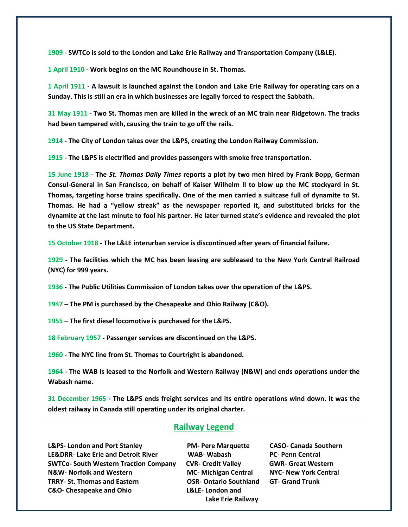**1909 - SWTCo is sold to the London and Lake Erie Railway and Transportation Company (L&LE).**

**1 April 1910 - Work begins on the MC Roundhouse in St. Thomas.** 

**1 April 1911 - A lawsuit is launched against the London and Lake Erie Railway for operating cars on a Sunday. This is still an era in which businesses are legally forced to respect the Sabbath.**

**31 May 1911 - Two St. Thomas men are killed in the wreck of an MC train near Ridgetown. The tracks had been tampered with, causing the train to go off the rails.** 

**1914 - The City of London takes over the L&PS, creating the London Railway Commission.**

**1915 - The L&PS is electrified and provides passengers with smoke free transportation.**

**15 June 1918 - The** *St. Thomas Daily Times* **reports a plot by two men hired by Frank Bopp, German Consul-General in San Francisco, on behalf of Kaiser Wilhelm II to blow up the MC stockyard in St. Thomas, targeting horse trains specifically. One of the men carried a suitcase full of dynamite to St. Thomas. He had a "yellow streak" as the newspaper reported it, and substituted bricks for the dynamite at the last minute to fool his partner. He later turned state's evidence and revealed the plot to the US State Department.**

**15 October 1918 - The L&LE interurban service is discontinued after years of financial failure.**

**1929 - The facilities which the MC has been leasing are subleased to the New York Central Railroad (NYC) for 999 years.**

**1936 - The Public Utilities Commission of London takes over the operation of the L&PS.**

**1947 – The PM is purchased by the Chesapeake and Ohio Railway (C&O).**

**1955 – The first diesel locomotive is purchased for the L&PS.**

**18 February 1957 - Passenger services are discontinued on the L&PS.**

**1960 - The NYC line from St. Thomas to Courtright is abandoned.**

**1964 - The WAB is leased to the Norfolk and Western Railway (N&W) and ends operations under the Wabash name.**

**31 December 1965 - The L&PS ends freight services and its entire operations wind down. It was the oldest railway in Canada still operating under its original charter.**

### **Railway Legend**

**L&PS- London and Port Stanley PM- Pere Marquette CASO- Canada Southern LE&DRR- Lake Erie and Detroit River WAB- Wabash PC- Penn Central SWTCo- South Western Traction Company CVR- Credit Valley GWR- Great Western N&W- Norfolk and Western MC- Michigan Central NYC- New York Central TRRY- St. Thomas and Eastern OSR- Ontario Southland GT- Grand Trunk C&O- Chesapeake and Ohio L&LE- London and**